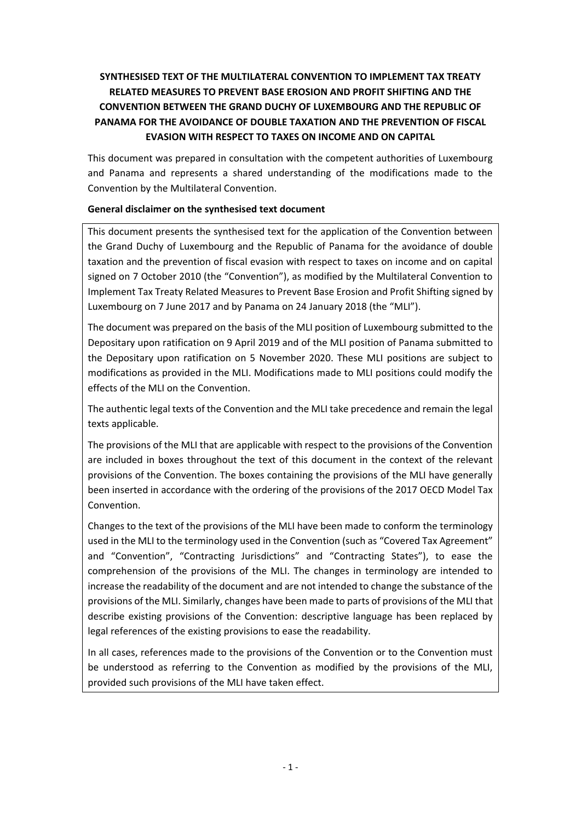# **SYNTHESISED TEXT OF THE MULTILATERAL CONVENTION TO IMPLEMENT TAX TREATY RELATED MEASURES TO PREVENT BASE EROSION AND PROFIT SHIFTING AND THE CONVENTION BETWEEN THE GRAND DUCHY OF LUXEMBOURG AND THE REPUBLIC OF PANAMA FOR THE AVOIDANCE OF DOUBLE TAXATION AND THE PREVENTION OF FISCAL EVASION WITH RESPECT TO TAXES ON INCOME AND ON CAPITAL**

This document was prepared in consultation with the competent authorities of Luxembourg and Panama and represents a shared understanding of the modifications made to the Convention by the Multilateral Convention.

### **General disclaimer on the synthesised text document**

This document presents the synthesised text for the application of the Convention between the Grand Duchy of Luxembourg and the Republic of Panama for the avoidance of double taxation and the prevention of fiscal evasion with respect to taxes on income and on capital signed on 7 October 2010 (the "Convention"), as modified by the Multilateral Convention to Implement Tax Treaty Related Measures to Prevent Base Erosion and Profit Shifting signed by Luxembourg on 7 June 2017 and by Panama on 24 January 2018 (the "MLI").

The document was prepared on the basis of the MLI position of Luxembourg submitted to the Depositary upon ratification on 9 April 2019 and of the MLI position of Panama submitted to the Depositary upon ratification on 5 November 2020. These MLI positions are subject to modifications as provided in the MLI. Modifications made to MLI positions could modify the effects of the MLI on the Convention.

The authentic legal texts of the Convention and the MLI take precedence and remain the legal texts applicable.

The provisions of the MLI that are applicable with respect to the provisions of the Convention are included in boxes throughout the text of this document in the context of the relevant provisions of the Convention. The boxes containing the provisions of the MLI have generally been inserted in accordance with the ordering of the provisions of the 2017 OECD Model Tax Convention.

Changes to the text of the provisions of the MLI have been made to conform the terminology used in the MLI to the terminology used in the Convention (such as "Covered Tax Agreement" and "Convention", "Contracting Jurisdictions" and "Contracting States"), to ease the comprehension of the provisions of the MLI. The changes in terminology are intended to increase the readability of the document and are not intended to change the substance of the provisions of the MLI. Similarly, changes have been made to parts of provisions of the MLI that describe existing provisions of the Convention: descriptive language has been replaced by legal references of the existing provisions to ease the readability.

In all cases, references made to the provisions of the Convention or to the Convention must be understood as referring to the Convention as modified by the provisions of the MLI, provided such provisions of the MLI have taken effect.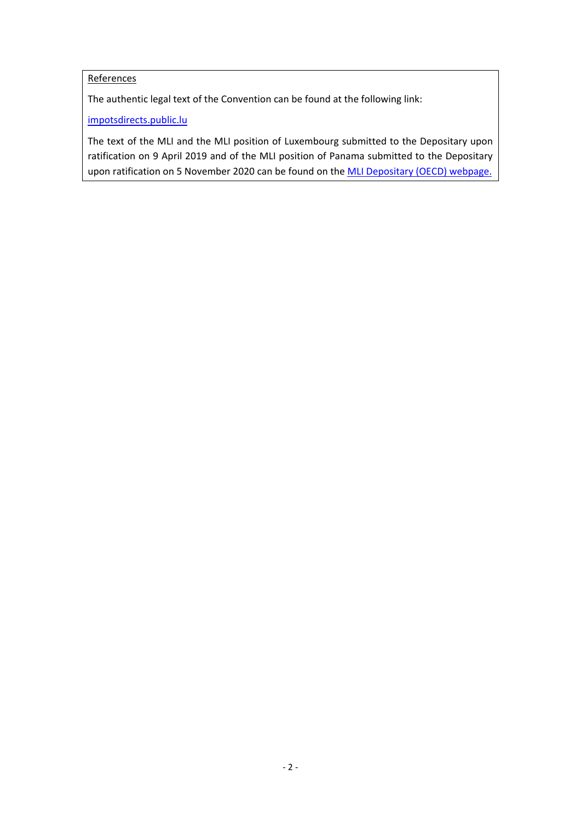# **References**

The authentic legal text of the Convention can be found at the following link:

[impotsdirects.public.lu](https://impotsdirects.public.lu/fr.html)

The text of the MLI and the MLI position of Luxembourg submitted to the Depositary upon ratification on 9 April 2019 and of the MLI position of Panama submitted to the Depositary upon ratification on 5 November 2020 can be found on the [MLI Depositary \(OECD\) webpage.](https://www.oecd.org/tax/treaties/multilateral-convention-to-implement-tax-treaty-related-measures-to-prevent-beps.htm)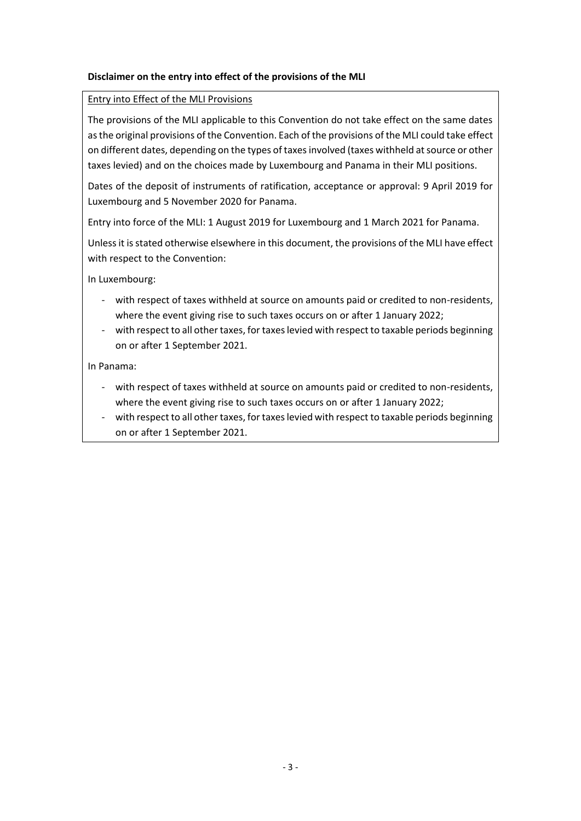# **Disclaimer on the entry into effect of the provisions of the MLI**

#### Entry into Effect of the MLI Provisions

The provisions of the MLI applicable to this Convention do not take effect on the same dates as the original provisions of the Convention. Each of the provisions of the MLI could take effect on different dates, depending on the types of taxes involved (taxes withheld at source or other taxes levied) and on the choices made by Luxembourg and Panama in their MLI positions.

Dates of the deposit of instruments of ratification, acceptance or approval: 9 April 2019 for Luxembourg and 5 November 2020 for Panama.

Entry into force of the MLI: 1 August 2019 for Luxembourg and 1 March 2021 for Panama.

Unless it is stated otherwise elsewhere in this document, the provisions of the MLI have effect with respect to the Convention:

In Luxembourg:

- with respect of taxes withheld at source on amounts paid or credited to non-residents, where the event giving rise to such taxes occurs on or after 1 January 2022;
- with respect to all other taxes, for taxes levied with respect to taxable periods beginning on or after 1 September 2021.

In Panama:

- with respect of taxes withheld at source on amounts paid or credited to non-residents, where the event giving rise to such taxes occurs on or after 1 January 2022;
- with respect to all other taxes, for taxes levied with respect to taxable periods beginning on or after 1 September 2021.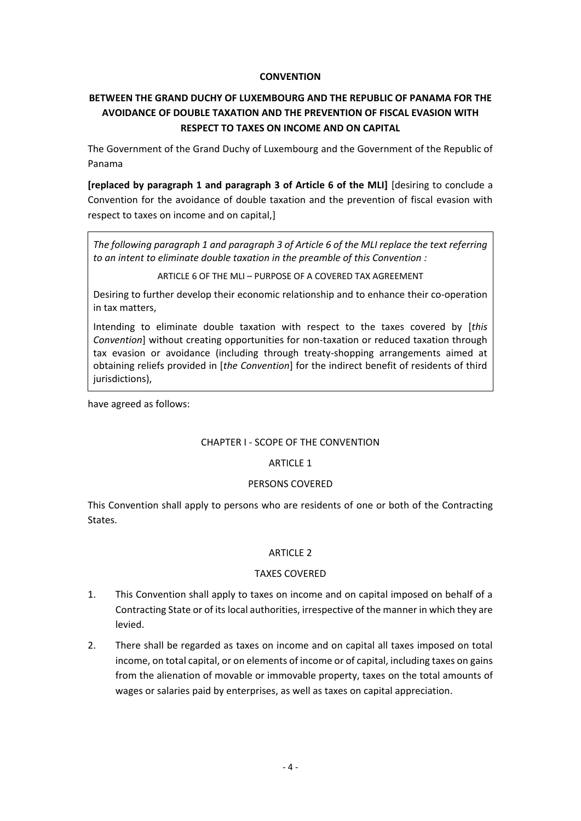### **CONVENTION**

# **BETWEEN THE GRAND DUCHY OF LUXEMBOURG AND THE REPUBLIC OF PANAMA FOR THE AVOIDANCE OF DOUBLE TAXATION AND THE PREVENTION OF FISCAL EVASION WITH RESPECT TO TAXES ON INCOME AND ON CAPITAL**

The Government of the Grand Duchy of Luxembourg and the Government of the Republic of Panama

**[replaced by paragraph 1 and paragraph 3 of Article 6 of the MLI]** [desiring to conclude a Convention for the avoidance of double taxation and the prevention of fiscal evasion with respect to taxes on income and on capital,]

*The following paragraph 1 and paragraph 3 of Article 6 of the MLI replace the text referring to an intent to eliminate double taxation in the preamble of this Convention :*

ARTICLE 6 OF THE MLI – PURPOSE OF A COVERED TAX AGREEMENT

Desiring to further develop their economic relationship and to enhance their co-operation in tax matters,

Intending to eliminate double taxation with respect to the taxes covered by [*this Convention*] without creating opportunities for non-taxation or reduced taxation through tax evasion or avoidance (including through treaty-shopping arrangements aimed at obtaining reliefs provided in [*the Convention*] for the indirect benefit of residents of third jurisdictions),

have agreed as follows:

#### CHAPTER I - SCOPE OF THE CONVENTION

#### ARTICLE 1

#### PERSONS COVERED

This Convention shall apply to persons who are residents of one or both of the Contracting States.

#### ARTICLE 2

#### TAXES COVERED

- 1. This Convention shall apply to taxes on income and on capital imposed on behalf of a Contracting State or of its local authorities, irrespective of the manner in which they are levied.
- 2. There shall be regarded as taxes on income and on capital all taxes imposed on total income, on total capital, or on elements of income or of capital, including taxes on gains from the alienation of movable or immovable property, taxes on the total amounts of wages or salaries paid by enterprises, as well as taxes on capital appreciation.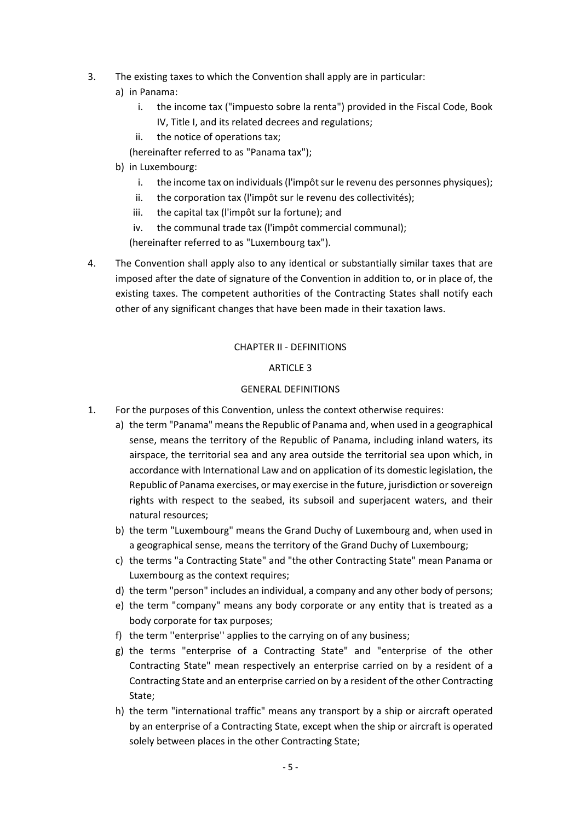- 3. The existing taxes to which the Convention shall apply are in particular:
	- a) in Panama:
		- i. the income tax ("impuesto sobre la renta") provided in the Fiscal Code, Book IV, Title I, and its related decrees and regulations;
		- ii. the notice of operations tax;
		- (hereinafter referred to as "Panama tax");
	- b) in Luxembourg:
		- i. the income tax on individuals (l'impôt sur le revenu des personnes physiques);
		- ii. the corporation tax (l'impôt sur le revenu des collectivités);
		- iii. the capital tax (l'impôt sur la fortune); and
		- iv. the communal trade tax (l'impôt commercial communal);

(hereinafter referred to as "Luxembourg tax").

4. The Convention shall apply also to any identical or substantially similar taxes that are imposed after the date of signature of the Convention in addition to, or in place of, the existing taxes. The competent authorities of the Contracting States shall notify each other of any significant changes that have been made in their taxation laws.

# CHAPTER II - DEFINITIONS

### ARTICLE 3

### GENERAL DEFINITIONS

- 1. For the purposes of this Convention, unless the context otherwise requires:
	- a) the term "Panama" means the Republic of Panama and, when used in a geographical sense, means the territory of the Republic of Panama, including inland waters, its airspace, the territorial sea and any area outside the territorial sea upon which, in accordance with International Law and on application of its domestic legislation, the Republic of Panama exercises, or may exercise in the future, jurisdiction or sovereign rights with respect to the seabed, its subsoil and superjacent waters, and their natural resources;
	- b) the term "Luxembourg" means the Grand Duchy of Luxembourg and, when used in a geographical sense, means the territory of the Grand Duchy of Luxembourg;
	- c) the terms "a Contracting State" and "the other Contracting State" mean Panama or Luxembourg as the context requires;
	- d) the term "person" includes an individual, a company and any other body of persons;
	- e) the term "company" means any body corporate or any entity that is treated as a body corporate for tax purposes;
	- f) the term ''enterprise'' applies to the carrying on of any business;
	- g) the terms "enterprise of a Contracting State" and "enterprise of the other Contracting State" mean respectively an enterprise carried on by a resident of a Contracting State and an enterprise carried on by a resident of the other Contracting State;
	- h) the term "international traffic" means any transport by a ship or aircraft operated by an enterprise of a Contracting State, except when the ship or aircraft is operated solely between places in the other Contracting State;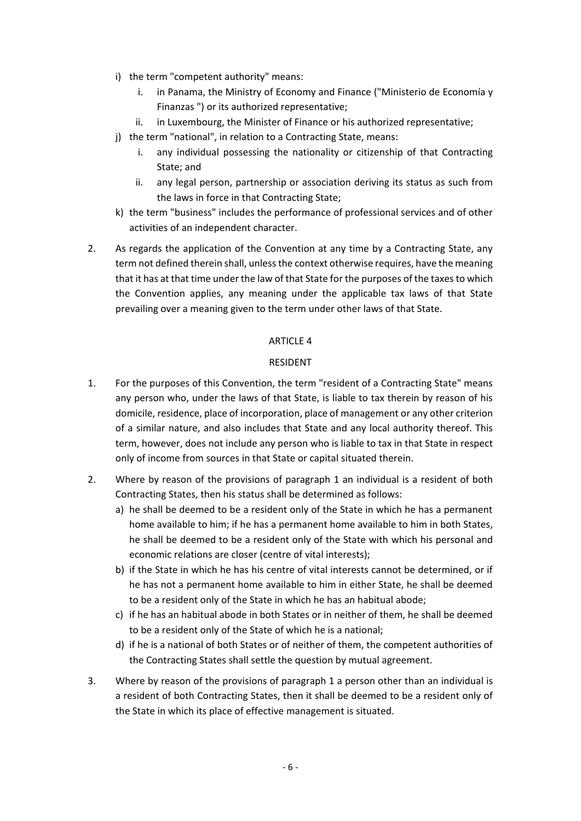- i) the term "competent authority" means:
	- i. in Panama, the Ministry of Economy and Finance ("Ministerio de Economía y Finanzas ") or its authorized representative;
	- ii. in Luxembourg, the Minister of Finance or his authorized representative;
- j) the term "national", in relation to a Contracting State, means:
	- i. any individual possessing the nationality or citizenship of that Contracting State; and
	- ii. any legal person, partnership or association deriving its status as such from the laws in force in that Contracting State;
- k) the term "business" includes the performance of professional services and of other activities of an independent character.
- 2. As regards the application of the Convention at any time by a Contracting State, any term not defined therein shall, unless the context otherwise requires, have the meaning that it has at that time under the law of that State for the purposes of the taxes to which the Convention applies, any meaning under the applicable tax laws of that State prevailing over a meaning given to the term under other laws of that State.

### ARTICLE 4

# RESIDENT

- 1. For the purposes of this Convention, the term "resident of a Contracting State" means any person who, under the laws of that State, is liable to tax therein by reason of his domicile, residence, place of incorporation, place of management or any other criterion of a similar nature, and also includes that State and any local authority thereof. This term, however, does not include any person who is liable to tax in that State in respect only of income from sources in that State or capital situated therein.
- 2. Where by reason of the provisions of paragraph 1 an individual is a resident of both Contracting States, then his status shall be determined as follows:
	- a) he shall be deemed to be a resident only of the State in which he has a permanent home available to him; if he has a permanent home available to him in both States, he shall be deemed to be a resident only of the State with which his personal and economic relations are closer (centre of vital interests);
	- b) if the State in which he has his centre of vital interests cannot be determined, or if he has not a permanent home available to him in either State, he shall be deemed to be a resident only of the State in which he has an habitual abode;
	- c) if he has an habitual abode in both States or in neither of them, he shall be deemed to be a resident only of the State of which he is a national;
	- d) if he is a national of both States or of neither of them, the competent authorities of the Contracting States shall settle the question by mutual agreement.
- 3. Where by reason of the provisions of paragraph 1 a person other than an individual is a resident of both Contracting States, then it shall be deemed to be a resident only of the State in which its place of effective management is situated.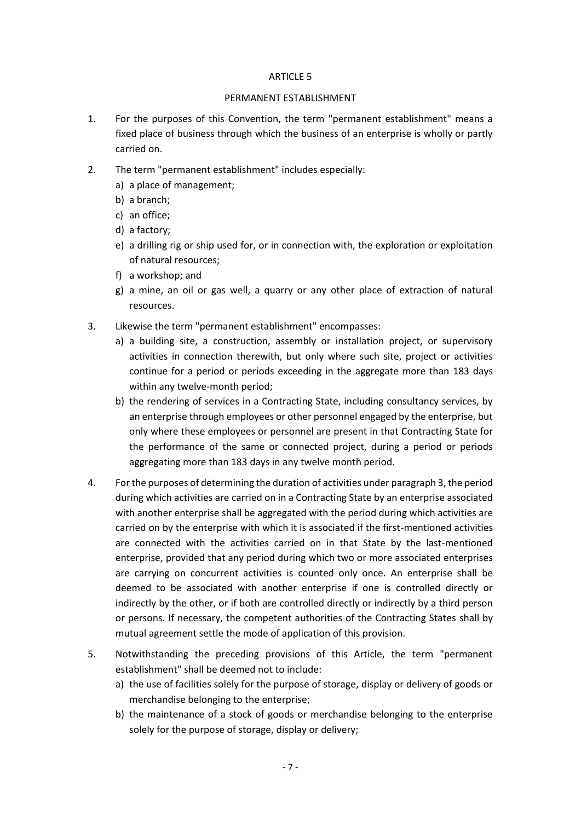#### ARTICLE 5

#### PERMANENT ESTABLISHMENT

- 1. For the purposes of this Convention, the term "permanent establishment" means a fixed place of business through which the business of an enterprise is wholly or partly carried on.
- 2. The term "permanent establishment" includes especially:
	- a) a place of management;
	- b) a branch;
	- c) an office;
	- d) a factory;
	- e) a drilling rig or ship used for, or in connection with, the exploration or exploitation of natural resources;
	- f) a workshop; and
	- g) a mine, an oil or gas well, a quarry or any other place of extraction of natural resources.
- 3. Likewise the term "permanent establishment" encompasses:
	- a) a building site, a construction, assembly or installation project, or supervisory activities in connection therewith, but only where such site, project or activities continue for a period or periods exceeding in the aggregate more than 183 days within any twelve-month period;
	- b) the rendering of services in a Contracting State, including consultancy services, by an enterprise through employees or other personnel engaged by the enterprise, but only where these employees or personnel are present in that Contracting State for the performance of the same or connected project, during a period or periods aggregating more than 183 days in any twelve month period.
- 4. For the purposes of determining the duration of activities under paragraph 3, the period during which activities are carried on in a Contracting State by an enterprise associated with another enterprise shall be aggregated with the period during which activities are carried on by the enterprise with which it is associated if the first-mentioned activities are connected with the activities carried on in that State by the last-mentioned enterprise, provided that any period during which two or more associated enterprises are carrying on concurrent activities is counted only once. An enterprise shall be deemed to be associated with another enterprise if one is controlled directly or indirectly by the other, or if both are controlled directly or indirectly by a third person or persons. If necessary, the competent authorities of the Contracting States shall by mutual agreement settle the mode of application of this provision.
- 5. Notwithstanding the preceding provisions of this Article, the term "permanent establishment" shall be deemed not to include:
	- a) the use of facilities solely for the purpose of storage, display or delivery of goods or merchandise belonging to the enterprise;
	- b) the maintenance of a stock of goods or merchandise belonging to the enterprise solely for the purpose of storage, display or delivery;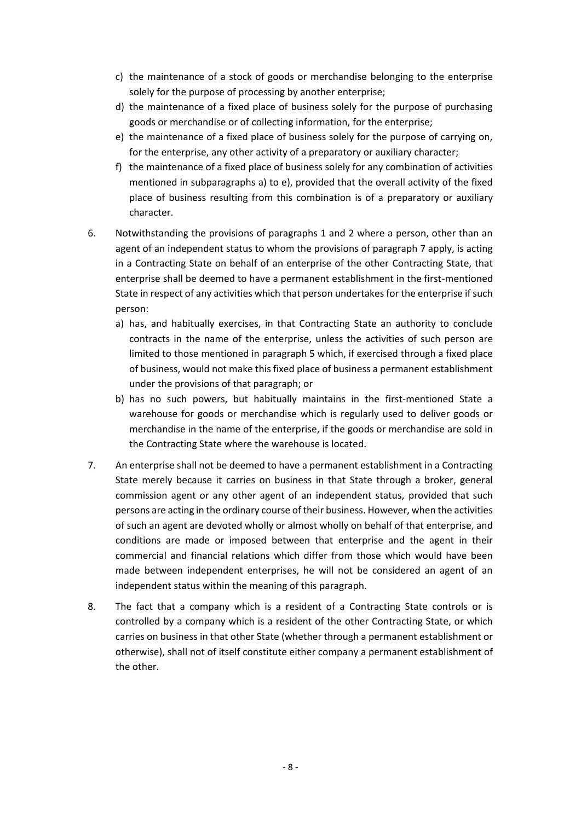- c) the maintenance of a stock of goods or merchandise belonging to the enterprise solely for the purpose of processing by another enterprise;
- d) the maintenance of a fixed place of business solely for the purpose of purchasing goods or merchandise or of collecting information, for the enterprise;
- e) the maintenance of a fixed place of business solely for the purpose of carrying on, for the enterprise, any other activity of a preparatory or auxiliary character;
- f) the maintenance of a fixed place of business solely for any combination of activities mentioned in subparagraphs a) to e), provided that the overall activity of the fixed place of business resulting from this combination is of a preparatory or auxiliary character.
- 6. Notwithstanding the provisions of paragraphs 1 and 2 where a person, other than an agent of an independent status to whom the provisions of paragraph 7 apply, is acting in a Contracting State on behalf of an enterprise of the other Contracting State, that enterprise shall be deemed to have a permanent establishment in the first-mentioned State in respect of any activities which that person undertakes for the enterprise if such person:
	- a) has, and habitually exercises, in that Contracting State an authority to conclude contracts in the name of the enterprise, unless the activities of such person are limited to those mentioned in paragraph 5 which, if exercised through a fixed place of business, would not make this fixed place of business a permanent establishment under the provisions of that paragraph; or
	- b) has no such powers, but habitually maintains in the first-mentioned State a warehouse for goods or merchandise which is regularly used to deliver goods or merchandise in the name of the enterprise, if the goods or merchandise are sold in the Contracting State where the warehouse is located.
- 7. An enterprise shall not be deemed to have a permanent establishment in a Contracting State merely because it carries on business in that State through a broker, general commission agent or any other agent of an independent status, provided that such persons are acting in the ordinary course of their business. However, when the activities of such an agent are devoted wholly or almost wholly on behalf of that enterprise, and conditions are made or imposed between that enterprise and the agent in their commercial and financial relations which differ from those which would have been made between independent enterprises, he will not be considered an agent of an independent status within the meaning of this paragraph.
- 8. The fact that a company which is a resident of a Contracting State controls or is controlled by a company which is a resident of the other Contracting State, or which carries on business in that other State (whether through a permanent establishment or otherwise), shall not of itself constitute either company a permanent establishment of the other.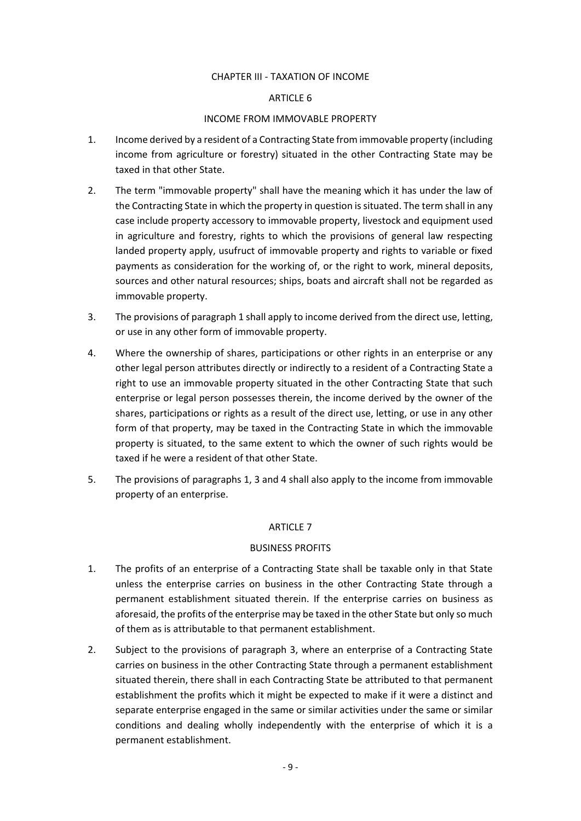### CHAPTER III - TAXATION OF INCOME

### ARTICLE 6

### INCOME FROM IMMOVABLE PROPERTY

- 1. Income derived by a resident of a Contracting State from immovable property (including income from agriculture or forestry) situated in the other Contracting State may be taxed in that other State.
- 2. The term "immovable property" shall have the meaning which it has under the law of the Contracting State in which the property in question is situated. The term shall in any case include property accessory to immovable property, livestock and equipment used in agriculture and forestry, rights to which the provisions of general law respecting landed property apply, usufruct of immovable property and rights to variable or fixed payments as consideration for the working of, or the right to work, mineral deposits, sources and other natural resources; ships, boats and aircraft shall not be regarded as immovable property.
- 3. The provisions of paragraph 1 shall apply to income derived from the direct use, letting, or use in any other form of immovable property.
- 4. Where the ownership of shares, participations or other rights in an enterprise or any other legal person attributes directly or indirectly to a resident of a Contracting State a right to use an immovable property situated in the other Contracting State that such enterprise or legal person possesses therein, the income derived by the owner of the shares, participations or rights as a result of the direct use, letting, or use in any other form of that property, may be taxed in the Contracting State in which the immovable property is situated, to the same extent to which the owner of such rights would be taxed if he were a resident of that other State.
- 5. The provisions of paragraphs 1, 3 and 4 shall also apply to the income from immovable property of an enterprise.

# ARTICLE 7

# BUSINESS PROFITS

- 1. The profits of an enterprise of a Contracting State shall be taxable only in that State unless the enterprise carries on business in the other Contracting State through a permanent establishment situated therein. If the enterprise carries on business as aforesaid, the profits of the enterprise may be taxed in the other State but only so much of them as is attributable to that permanent establishment.
- 2. Subject to the provisions of paragraph 3, where an enterprise of a Contracting State carries on business in the other Contracting State through a permanent establishment situated therein, there shall in each Contracting State be attributed to that permanent establishment the profits which it might be expected to make if it were a distinct and separate enterprise engaged in the same or similar activities under the same or similar conditions and dealing wholly independently with the enterprise of which it is a permanent establishment.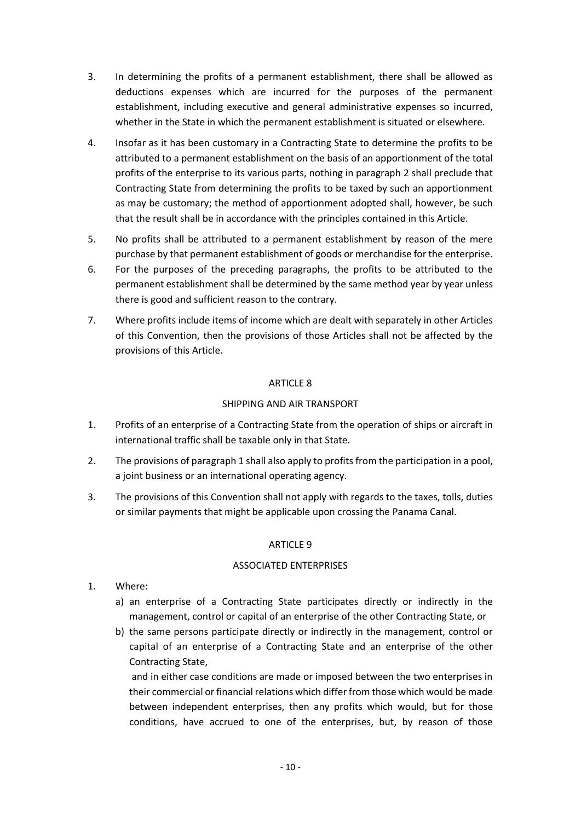- 3. In determining the profits of a permanent establishment, there shall be allowed as deductions expenses which are incurred for the purposes of the permanent establishment, including executive and general administrative expenses so incurred, whether in the State in which the permanent establishment is situated or elsewhere.
- 4. Insofar as it has been customary in a Contracting State to determine the profits to be attributed to a permanent establishment on the basis of an apportionment of the total profits of the enterprise to its various parts, nothing in paragraph 2 shall preclude that Contracting State from determining the profits to be taxed by such an apportionment as may be customary; the method of apportionment adopted shall, however, be such that the result shall be in accordance with the principles contained in this Article.
- 5. No profits shall be attributed to a permanent establishment by reason of the mere purchase by that permanent establishment of goods or merchandise for the enterprise.
- 6. For the purposes of the preceding paragraphs, the profits to be attributed to the permanent establishment shall be determined by the same method year by year unless there is good and sufficient reason to the contrary.
- 7. Where profits include items of income which are dealt with separately in other Articles of this Convention, then the provisions of those Articles shall not be affected by the provisions of this Article.

# ARTICLE 8

# SHIPPING AND AIR TRANSPORT

- 1. Profits of an enterprise of a Contracting State from the operation of ships or aircraft in international traffic shall be taxable only in that State.
- 2. The provisions of paragraph 1 shall also apply to profits from the participation in a pool, a joint business or an international operating agency.
- 3. The provisions of this Convention shall not apply with regards to the taxes, tolls, duties or similar payments that might be applicable upon crossing the Panama Canal.

# ARTICLE 9

# ASSOCIATED ENTERPRISES

- 1. Where:
	- a) an enterprise of a Contracting State participates directly or indirectly in the management, control or capital of an enterprise of the other Contracting State, or
	- b) the same persons participate directly or indirectly in the management, control or capital of an enterprise of a Contracting State and an enterprise of the other Contracting State,

and in either case conditions are made or imposed between the two enterprises in their commercial or financial relations which differ from those which would be made between independent enterprises, then any profits which would, but for those conditions, have accrued to one of the enterprises, but, by reason of those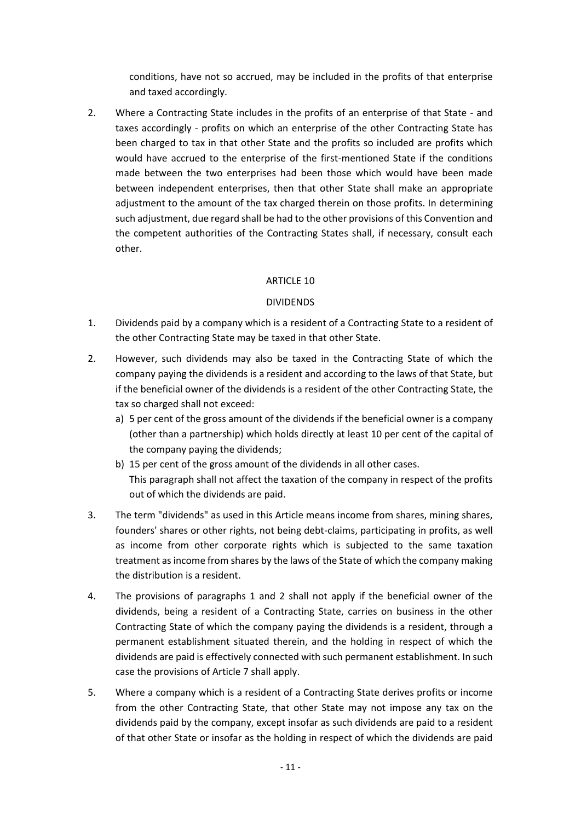conditions, have not so accrued, may be included in the profits of that enterprise and taxed accordingly.

2. Where a Contracting State includes in the profits of an enterprise of that State - and taxes accordingly - profits on which an enterprise of the other Contracting State has been charged to tax in that other State and the profits so included are profits which would have accrued to the enterprise of the first-mentioned State if the conditions made between the two enterprises had been those which would have been made between independent enterprises, then that other State shall make an appropriate adjustment to the amount of the tax charged therein on those profits. In determining such adjustment, due regard shall be had to the other provisions of this Convention and the competent authorities of the Contracting States shall, if necessary, consult each other.

# ARTICLE 10

# DIVIDENDS

- 1. Dividends paid by a company which is a resident of a Contracting State to a resident of the other Contracting State may be taxed in that other State.
- 2. However, such dividends may also be taxed in the Contracting State of which the company paying the dividends is a resident and according to the laws of that State, but if the beneficial owner of the dividends is a resident of the other Contracting State, the tax so charged shall not exceed:
	- a) 5 per cent of the gross amount of the dividends if the beneficial owner is a company (other than a partnership) which holds directly at least 10 per cent of the capital of the company paying the dividends;
	- b) 15 per cent of the gross amount of the dividends in all other cases. This paragraph shall not affect the taxation of the company in respect of the profits out of which the dividends are paid.
- 3. The term "dividends" as used in this Article means income from shares, mining shares, founders' shares or other rights, not being debt-claims, participating in profits, as well as income from other corporate rights which is subjected to the same taxation treatment as income from shares by the laws of the State of which the company making the distribution is a resident.
- 4. The provisions of paragraphs 1 and 2 shall not apply if the beneficial owner of the dividends, being a resident of a Contracting State, carries on business in the other Contracting State of which the company paying the dividends is a resident, through a permanent establishment situated therein, and the holding in respect of which the dividends are paid is effectively connected with such permanent establishment. In such case the provisions of Article 7 shall apply.
- 5. Where a company which is a resident of a Contracting State derives profits or income from the other Contracting State, that other State may not impose any tax on the dividends paid by the company, except insofar as such dividends are paid to a resident of that other State or insofar as the holding in respect of which the dividends are paid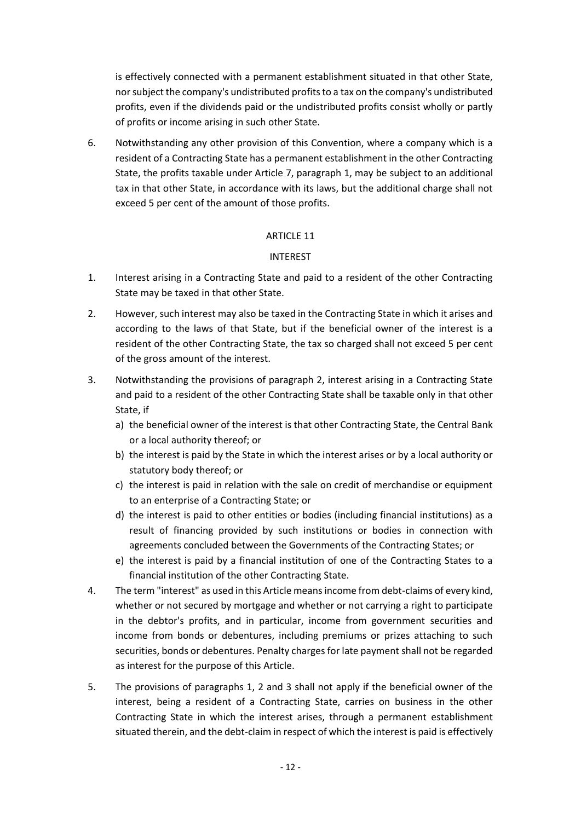is effectively connected with a permanent establishment situated in that other State, nor subject the company's undistributed profits to a tax on the company's undistributed profits, even if the dividends paid or the undistributed profits consist wholly or partly of profits or income arising in such other State.

6. Notwithstanding any other provision of this Convention, where a company which is a resident of a Contracting State has a permanent establishment in the other Contracting State, the profits taxable under Article 7, paragraph 1, may be subject to an additional tax in that other State, in accordance with its laws, but the additional charge shall not exceed 5 per cent of the amount of those profits.

### ARTICLE 11

### INTEREST

- 1. Interest arising in a Contracting State and paid to a resident of the other Contracting State may be taxed in that other State.
- 2. However, such interest may also be taxed in the Contracting State in which it arises and according to the laws of that State, but if the beneficial owner of the interest is a resident of the other Contracting State, the tax so charged shall not exceed 5 per cent of the gross amount of the interest.
- 3. Notwithstanding the provisions of paragraph 2, interest arising in a Contracting State and paid to a resident of the other Contracting State shall be taxable only in that other State, if
	- a) the beneficial owner of the interest is that other Contracting State, the Central Bank or a local authority thereof; or
	- b) the interest is paid by the State in which the interest arises or by a local authority or statutory body thereof; or
	- c) the interest is paid in relation with the sale on credit of merchandise or equipment to an enterprise of a Contracting State; or
	- d) the interest is paid to other entities or bodies (including financial institutions) as a result of financing provided by such institutions or bodies in connection with agreements concluded between the Governments of the Contracting States; or
	- e) the interest is paid by a financial institution of one of the Contracting States to a financial institution of the other Contracting State.
- 4. The term "interest" as used in this Article means income from debt-claims of every kind, whether or not secured by mortgage and whether or not carrying a right to participate in the debtor's profits, and in particular, income from government securities and income from bonds or debentures, including premiums or prizes attaching to such securities, bonds or debentures. Penalty charges for late payment shall not be regarded as interest for the purpose of this Article.
- 5. The provisions of paragraphs 1, 2 and 3 shall not apply if the beneficial owner of the interest, being a resident of a Contracting State, carries on business in the other Contracting State in which the interest arises, through a permanent establishment situated therein, and the debt-claim in respect of which the interest is paid is effectively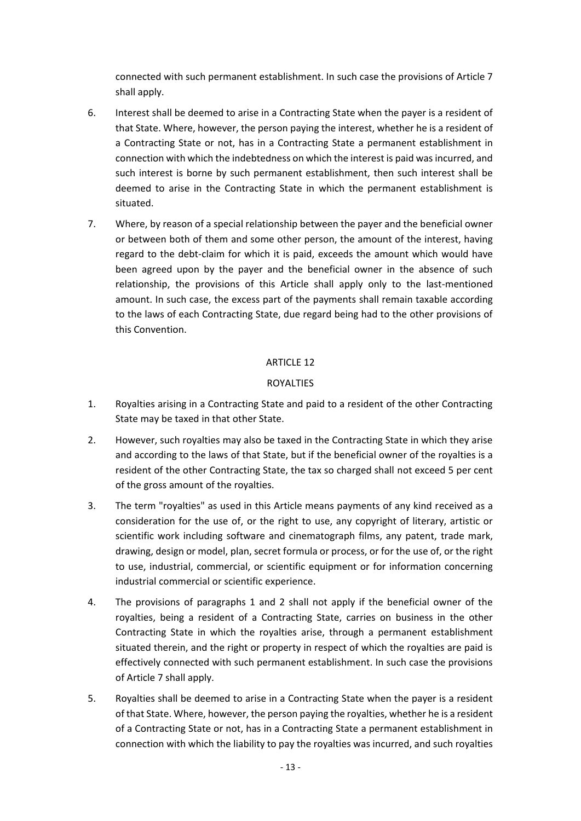connected with such permanent establishment. In such case the provisions of Article 7 shall apply.

- 6. Interest shall be deemed to arise in a Contracting State when the payer is a resident of that State. Where, however, the person paying the interest, whether he is a resident of a Contracting State or not, has in a Contracting State a permanent establishment in connection with which the indebtedness on which the interest is paid was incurred, and such interest is borne by such permanent establishment, then such interest shall be deemed to arise in the Contracting State in which the permanent establishment is situated.
- 7. Where, by reason of a special relationship between the payer and the beneficial owner or between both of them and some other person, the amount of the interest, having regard to the debt-claim for which it is paid, exceeds the amount which would have been agreed upon by the payer and the beneficial owner in the absence of such relationship, the provisions of this Article shall apply only to the last-mentioned amount. In such case, the excess part of the payments shall remain taxable according to the laws of each Contracting State, due regard being had to the other provisions of this Convention.

# ARTICLE 12

# ROYALTIES

- 1. Royalties arising in a Contracting State and paid to a resident of the other Contracting State may be taxed in that other State.
- 2. However, such royalties may also be taxed in the Contracting State in which they arise and according to the laws of that State, but if the beneficial owner of the royalties is a resident of the other Contracting State, the tax so charged shall not exceed 5 per cent of the gross amount of the royalties.
- 3. The term "royalties" as used in this Article means payments of any kind received as a consideration for the use of, or the right to use, any copyright of literary, artistic or scientific work including software and cinematograph films, any patent, trade mark, drawing, design or model, plan, secret formula or process, or for the use of, or the right to use, industrial, commercial, or scientific equipment or for information concerning industrial commercial or scientific experience.
- 4. The provisions of paragraphs 1 and 2 shall not apply if the beneficial owner of the royalties, being a resident of a Contracting State, carries on business in the other Contracting State in which the royalties arise, through a permanent establishment situated therein, and the right or property in respect of which the royalties are paid is effectively connected with such permanent establishment. In such case the provisions of Article 7 shall apply.
- 5. Royalties shall be deemed to arise in a Contracting State when the payer is a resident of that State. Where, however, the person paying the royalties, whether he is a resident of a Contracting State or not, has in a Contracting State a permanent establishment in connection with which the liability to pay the royalties was incurred, and such royalties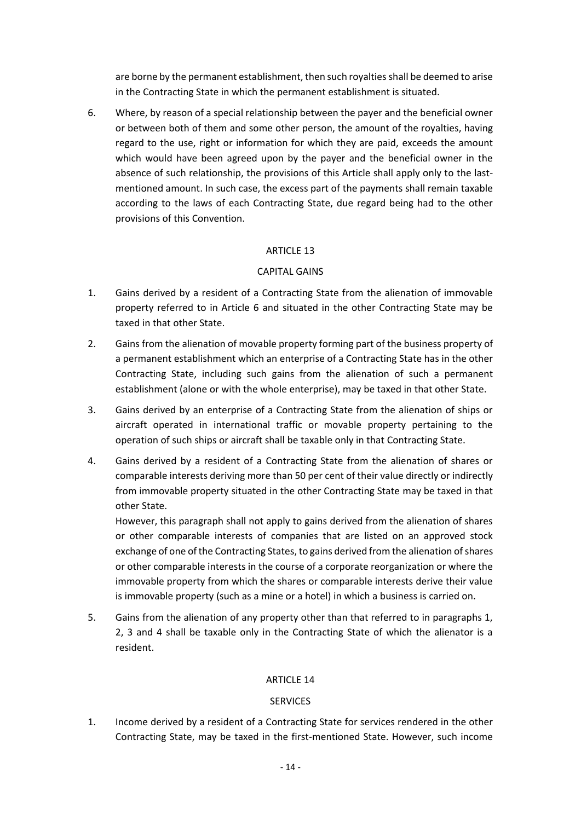are borne by the permanent establishment, then such royalties shall be deemed to arise in the Contracting State in which the permanent establishment is situated.

6. Where, by reason of a special relationship between the payer and the beneficial owner or between both of them and some other person, the amount of the royalties, having regard to the use, right or information for which they are paid, exceeds the amount which would have been agreed upon by the payer and the beneficial owner in the absence of such relationship, the provisions of this Article shall apply only to the lastmentioned amount. In such case, the excess part of the payments shall remain taxable according to the laws of each Contracting State, due regard being had to the other provisions of this Convention.

# ARTICLE 13

### CAPITAL GAINS

- 1. Gains derived by a resident of a Contracting State from the alienation of immovable property referred to in Article 6 and situated in the other Contracting State may be taxed in that other State.
- 2. Gains from the alienation of movable property forming part of the business property of a permanent establishment which an enterprise of a Contracting State has in the other Contracting State, including such gains from the alienation of such a permanent establishment (alone or with the whole enterprise), may be taxed in that other State.
- 3. Gains derived by an enterprise of a Contracting State from the alienation of ships or aircraft operated in international traffic or movable property pertaining to the operation of such ships or aircraft shall be taxable only in that Contracting State.
- 4. Gains derived by a resident of a Contracting State from the alienation of shares or comparable interests deriving more than 50 per cent of their value directly or indirectly from immovable property situated in the other Contracting State may be taxed in that other State.

However, this paragraph shall not apply to gains derived from the alienation of shares or other comparable interests of companies that are listed on an approved stock exchange of one of the Contracting States, to gains derived from the alienation of shares or other comparable interests in the course of a corporate reorganization or where the immovable property from which the shares or comparable interests derive their value is immovable property (such as a mine or a hotel) in which a business is carried on.

5. Gains from the alienation of any property other than that referred to in paragraphs 1, 2, 3 and 4 shall be taxable only in the Contracting State of which the alienator is a resident.

#### ARTICLE 14

#### SERVICES

1. Income derived by a resident of a Contracting State for services rendered in the other Contracting State, may be taxed in the first-mentioned State. However, such income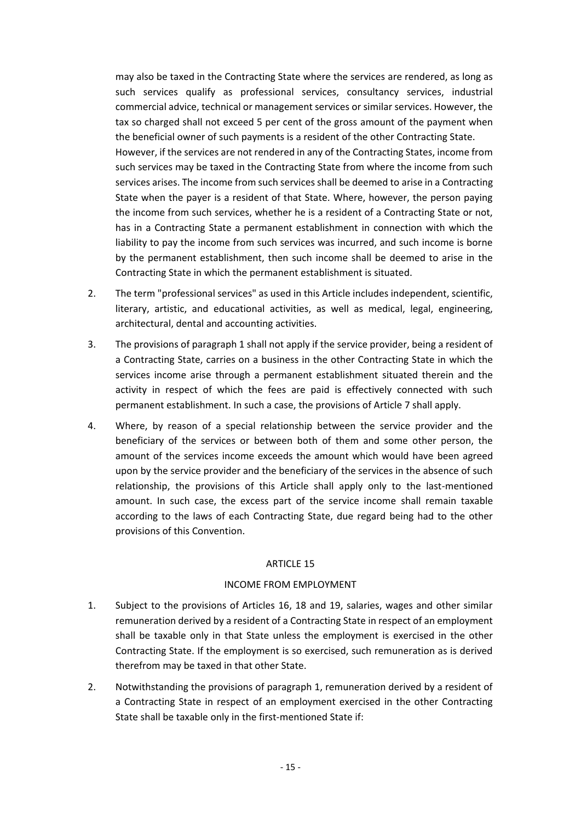may also be taxed in the Contracting State where the services are rendered, as long as such services qualify as professional services, consultancy services, industrial commercial advice, technical or management services or similar services. However, the tax so charged shall not exceed 5 per cent of the gross amount of the payment when the beneficial owner of such payments is a resident of the other Contracting State.

However, if the services are not rendered in any of the Contracting States, income from such services may be taxed in the Contracting State from where the income from such services arises. The income from such services shall be deemed to arise in a Contracting State when the payer is a resident of that State. Where, however, the person paying the income from such services, whether he is a resident of a Contracting State or not, has in a Contracting State a permanent establishment in connection with which the liability to pay the income from such services was incurred, and such income is borne by the permanent establishment, then such income shall be deemed to arise in the Contracting State in which the permanent establishment is situated.

- 2. The term "professional services" as used in this Article includes independent, scientific, literary, artistic, and educational activities, as well as medical, legal, engineering, architectural, dental and accounting activities.
- 3. The provisions of paragraph 1 shall not apply if the service provider, being a resident of a Contracting State, carries on a business in the other Contracting State in which the services income arise through a permanent establishment situated therein and the activity in respect of which the fees are paid is effectively connected with such permanent establishment. In such a case, the provisions of Article 7 shall apply.
- 4. Where, by reason of a special relationship between the service provider and the beneficiary of the services or between both of them and some other person, the amount of the services income exceeds the amount which would have been agreed upon by the service provider and the beneficiary of the services in the absence of such relationship, the provisions of this Article shall apply only to the last-mentioned amount. In such case, the excess part of the service income shall remain taxable according to the laws of each Contracting State, due regard being had to the other provisions of this Convention.

#### ARTICLE 15

# INCOME FROM EMPLOYMENT

- 1. Subject to the provisions of Articles 16, 18 and 19, salaries, wages and other similar remuneration derived by a resident of a Contracting State in respect of an employment shall be taxable only in that State unless the employment is exercised in the other Contracting State. If the employment is so exercised, such remuneration as is derived therefrom may be taxed in that other State.
- 2. Notwithstanding the provisions of paragraph 1, remuneration derived by a resident of a Contracting State in respect of an employment exercised in the other Contracting State shall be taxable only in the first-mentioned State if: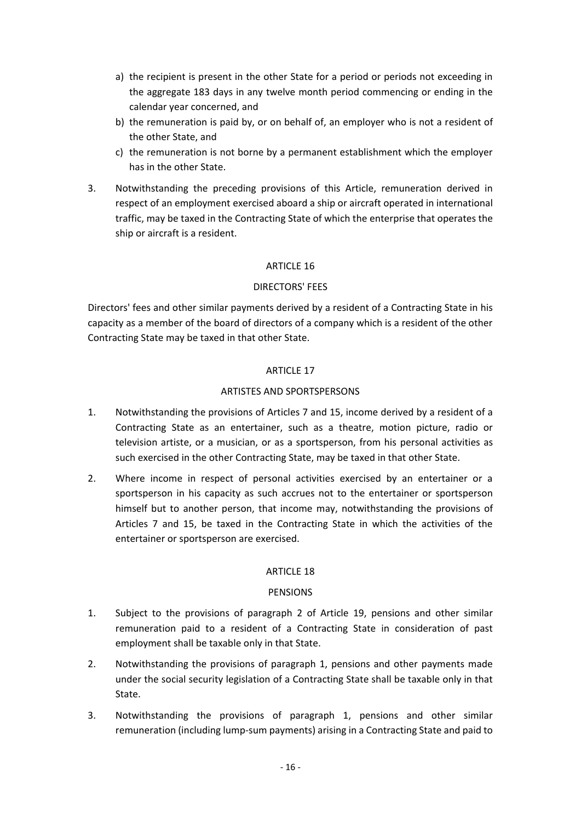- a) the recipient is present in the other State for a period or periods not exceeding in the aggregate 183 days in any twelve month period commencing or ending in the calendar year concerned, and
- b) the remuneration is paid by, or on behalf of, an employer who is not a resident of the other State, and
- c) the remuneration is not borne by a permanent establishment which the employer has in the other State.
- 3. Notwithstanding the preceding provisions of this Article, remuneration derived in respect of an employment exercised aboard a ship or aircraft operated in international traffic, may be taxed in the Contracting State of which the enterprise that operates the ship or aircraft is a resident.

### ARTICLE 16

#### DIRECTORS' FEES

Directors' fees and other similar payments derived by a resident of a Contracting State in his capacity as a member of the board of directors of a company which is a resident of the other Contracting State may be taxed in that other State.

### ARTICLE 17

### ARTISTES AND SPORTSPERSONS

- 1. Notwithstanding the provisions of Articles 7 and 15, income derived by a resident of a Contracting State as an entertainer, such as a theatre, motion picture, radio or television artiste, or a musician, or as a sportsperson, from his personal activities as such exercised in the other Contracting State, may be taxed in that other State.
- 2. Where income in respect of personal activities exercised by an entertainer or a sportsperson in his capacity as such accrues not to the entertainer or sportsperson himself but to another person, that income may, notwithstanding the provisions of Articles 7 and 15, be taxed in the Contracting State in which the activities of the entertainer or sportsperson are exercised.

#### ARTICLE 18

#### PENSIONS

- 1. Subject to the provisions of paragraph 2 of Article 19, pensions and other similar remuneration paid to a resident of a Contracting State in consideration of past employment shall be taxable only in that State.
- 2. Notwithstanding the provisions of paragraph 1, pensions and other payments made under the social security legislation of a Contracting State shall be taxable only in that State.
- 3. Notwithstanding the provisions of paragraph 1, pensions and other similar remuneration (including lump-sum payments) arising in a Contracting State and paid to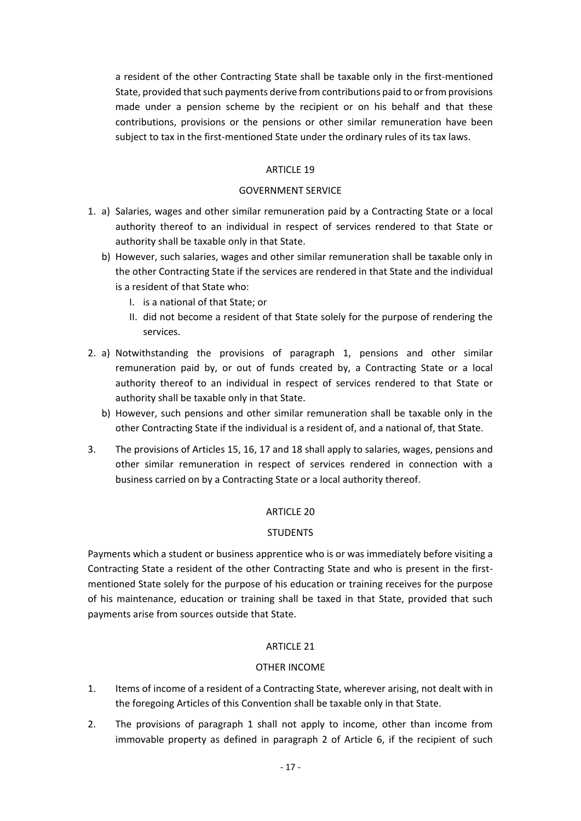a resident of the other Contracting State shall be taxable only in the first-mentioned State, provided that such payments derive from contributions paid to or from provisions made under a pension scheme by the recipient or on his behalf and that these contributions, provisions or the pensions or other similar remuneration have been subject to tax in the first-mentioned State under the ordinary rules of its tax laws.

#### ARTICLE 19

#### GOVERNMENT SERVICE

- 1. a) Salaries, wages and other similar remuneration paid by a Contracting State or a local authority thereof to an individual in respect of services rendered to that State or authority shall be taxable only in that State.
	- b) However, such salaries, wages and other similar remuneration shall be taxable only in the other Contracting State if the services are rendered in that State and the individual is a resident of that State who:
		- I. is a national of that State; or
		- II. did not become a resident of that State solely for the purpose of rendering the services.
- 2. a) Notwithstanding the provisions of paragraph 1, pensions and other similar remuneration paid by, or out of funds created by, a Contracting State or a local authority thereof to an individual in respect of services rendered to that State or authority shall be taxable only in that State.
	- b) However, such pensions and other similar remuneration shall be taxable only in the other Contracting State if the individual is a resident of, and a national of, that State.
- 3. The provisions of Articles 15, 16, 17 and 18 shall apply to salaries, wages, pensions and other similar remuneration in respect of services rendered in connection with a business carried on by a Contracting State or a local authority thereof.

#### ARTICLE 20

#### **STUDENTS**

Payments which a student or business apprentice who is or was immediately before visiting a Contracting State a resident of the other Contracting State and who is present in the firstmentioned State solely for the purpose of his education or training receives for the purpose of his maintenance, education or training shall be taxed in that State, provided that such payments arise from sources outside that State.

#### ARTICLE 21

#### OTHER INCOME

- 1. Items of income of a resident of a Contracting State, wherever arising, not dealt with in the foregoing Articles of this Convention shall be taxable only in that State.
- 2. The provisions of paragraph 1 shall not apply to income, other than income from immovable property as defined in paragraph 2 of Article 6, if the recipient of such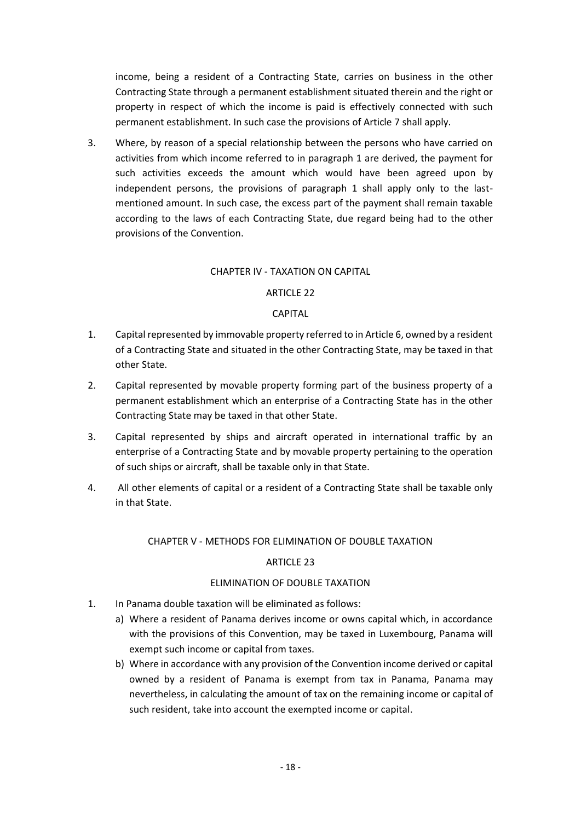income, being a resident of a Contracting State, carries on business in the other Contracting State through a permanent establishment situated therein and the right or property in respect of which the income is paid is effectively connected with such permanent establishment. In such case the provisions of Article 7 shall apply.

3. Where, by reason of a special relationship between the persons who have carried on activities from which income referred to in paragraph 1 are derived, the payment for such activities exceeds the amount which would have been agreed upon by independent persons, the provisions of paragraph 1 shall apply only to the lastmentioned amount. In such case, the excess part of the payment shall remain taxable according to the laws of each Contracting State, due regard being had to the other provisions of the Convention.

### CHAPTER IV - TAXATION ON CAPITAL

### ARTICLE 22

### CAPITAL

- 1. Capital represented by immovable property referred to in Article 6, owned by a resident of a Contracting State and situated in the other Contracting State, may be taxed in that other State.
- 2. Capital represented by movable property forming part of the business property of a permanent establishment which an enterprise of a Contracting State has in the other Contracting State may be taxed in that other State.
- 3. Capital represented by ships and aircraft operated in international traffic by an enterprise of a Contracting State and by movable property pertaining to the operation of such ships or aircraft, shall be taxable only in that State.
- 4. All other elements of capital or a resident of a Contracting State shall be taxable only in that State.

#### CHAPTER V - METHODS FOR ELIMINATION OF DOUBLE TAXATION

#### ARTICLE 23

# ELIMINATION OF DOUBLE TAXATION

- 1. In Panama double taxation will be eliminated as follows:
	- a) Where a resident of Panama derives income or owns capital which, in accordance with the provisions of this Convention, may be taxed in Luxembourg, Panama will exempt such income or capital from taxes.
	- b) Where in accordance with any provision of the Convention income derived or capital owned by a resident of Panama is exempt from tax in Panama, Panama may nevertheless, in calculating the amount of tax on the remaining income or capital of such resident, take into account the exempted income or capital.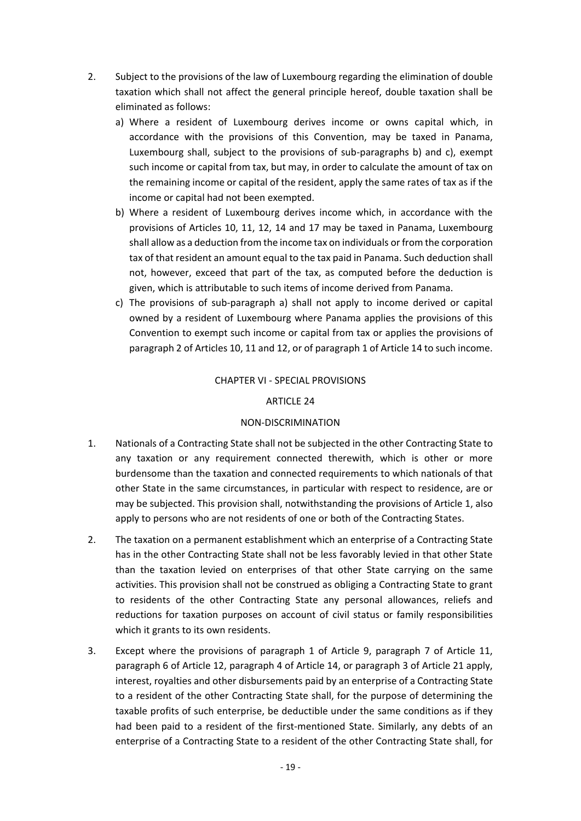- 2. Subject to the provisions of the law of Luxembourg regarding the elimination of double taxation which shall not affect the general principle hereof, double taxation shall be eliminated as follows:
	- a) Where a resident of Luxembourg derives income or owns capital which, in accordance with the provisions of this Convention, may be taxed in Panama, Luxembourg shall, subject to the provisions of sub-paragraphs b) and c), exempt such income or capital from tax, but may, in order to calculate the amount of tax on the remaining income or capital of the resident, apply the same rates of tax as if the income or capital had not been exempted.
	- b) Where a resident of Luxembourg derives income which, in accordance with the provisions of Articles 10, 11, 12, 14 and 17 may be taxed in Panama, Luxembourg shall allow as a deduction from the income tax on individuals or from the corporation tax of that resident an amount equal to the tax paid in Panama. Such deduction shall not, however, exceed that part of the tax, as computed before the deduction is given, which is attributable to such items of income derived from Panama.
	- c) The provisions of sub-paragraph a) shall not apply to income derived or capital owned by a resident of Luxembourg where Panama applies the provisions of this Convention to exempt such income or capital from tax or applies the provisions of paragraph 2 of Articles 10, 11 and 12, or of paragraph 1 of Article 14 to such income.

#### CHAPTER VI - SPECIAL PROVISIONS

#### ARTICLE 24

#### NON-DISCRIMINATION

- 1. Nationals of a Contracting State shall not be subjected in the other Contracting State to any taxation or any requirement connected therewith, which is other or more burdensome than the taxation and connected requirements to which nationals of that other State in the same circumstances, in particular with respect to residence, are or may be subjected. This provision shall, notwithstanding the provisions of Article 1, also apply to persons who are not residents of one or both of the Contracting States.
- 2. The taxation on a permanent establishment which an enterprise of a Contracting State has in the other Contracting State shall not be less favorably levied in that other State than the taxation levied on enterprises of that other State carrying on the same activities. This provision shall not be construed as obliging a Contracting State to grant to residents of the other Contracting State any personal allowances, reliefs and reductions for taxation purposes on account of civil status or family responsibilities which it grants to its own residents.
- 3. Except where the provisions of paragraph 1 of Article 9, paragraph 7 of Article 11, paragraph 6 of Article 12, paragraph 4 of Article 14, or paragraph 3 of Article 21 apply, interest, royalties and other disbursements paid by an enterprise of a Contracting State to a resident of the other Contracting State shall, for the purpose of determining the taxable profits of such enterprise, be deductible under the same conditions as if they had been paid to a resident of the first-mentioned State. Similarly, any debts of an enterprise of a Contracting State to a resident of the other Contracting State shall, for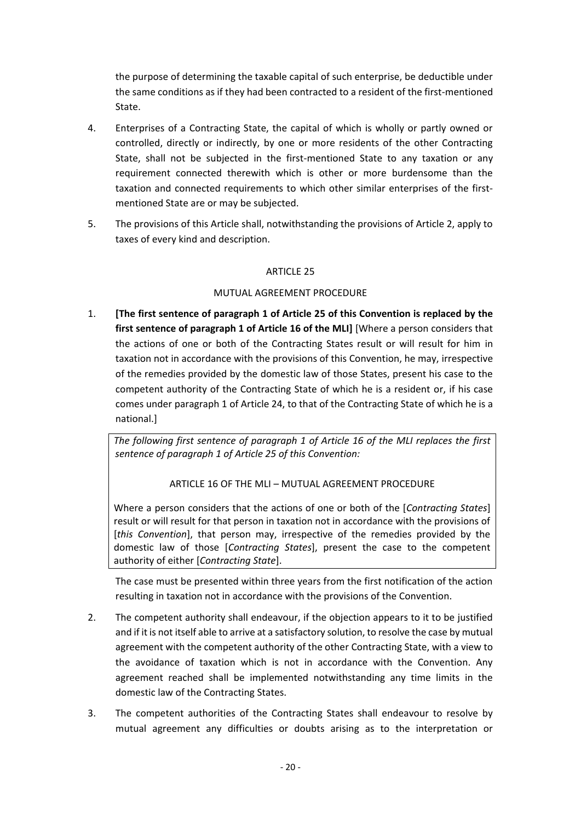the purpose of determining the taxable capital of such enterprise, be deductible under the same conditions as if they had been contracted to a resident of the first-mentioned State.

- 4. Enterprises of a Contracting State, the capital of which is wholly or partly owned or controlled, directly or indirectly, by one or more residents of the other Contracting State, shall not be subjected in the first-mentioned State to any taxation or any requirement connected therewith which is other or more burdensome than the taxation and connected requirements to which other similar enterprises of the firstmentioned State are or may be subjected.
- 5. The provisions of this Article shall, notwithstanding the provisions of Article 2, apply to taxes of every kind and description.

# ARTICLE 25

# MUTUAL AGREEMENT PROCEDURE

1. **[The first sentence of paragraph 1 of Article 25 of this Convention is replaced by the first sentence of paragraph 1 of Article 16 of the MLI]** [Where a person considers that the actions of one or both of the Contracting States result or will result for him in taxation not in accordance with the provisions of this Convention, he may, irrespective of the remedies provided by the domestic law of those States, present his case to the competent authority of the Contracting State of which he is a resident or, if his case comes under paragraph 1 of Article 24, to that of the Contracting State of which he is a national.]

*The following first sentence of paragraph 1 of Article 16 of the MLI replaces the first sentence of paragraph 1 of Article 25 of this Convention:*

# ARTICLE 16 OF THE MLI – MUTUAL AGREEMENT PROCEDURE

Where a person considers that the actions of one or both of the [*Contracting States*] result or will result for that person in taxation not in accordance with the provisions of [*this Convention*], that person may, irrespective of the remedies provided by the domestic law of those [*Contracting States*], present the case to the competent authority of either [*Contracting State*].

The case must be presented within three years from the first notification of the action resulting in taxation not in accordance with the provisions of the Convention.

- 2. The competent authority shall endeavour, if the objection appears to it to be justified and if it is not itself able to arrive at a satisfactory solution, to resolve the case by mutual agreement with the competent authority of the other Contracting State, with a view to the avoidance of taxation which is not in accordance with the Convention. Any agreement reached shall be implemented notwithstanding any time limits in the domestic law of the Contracting States.
- 3. The competent authorities of the Contracting States shall endeavour to resolve by mutual agreement any difficulties or doubts arising as to the interpretation or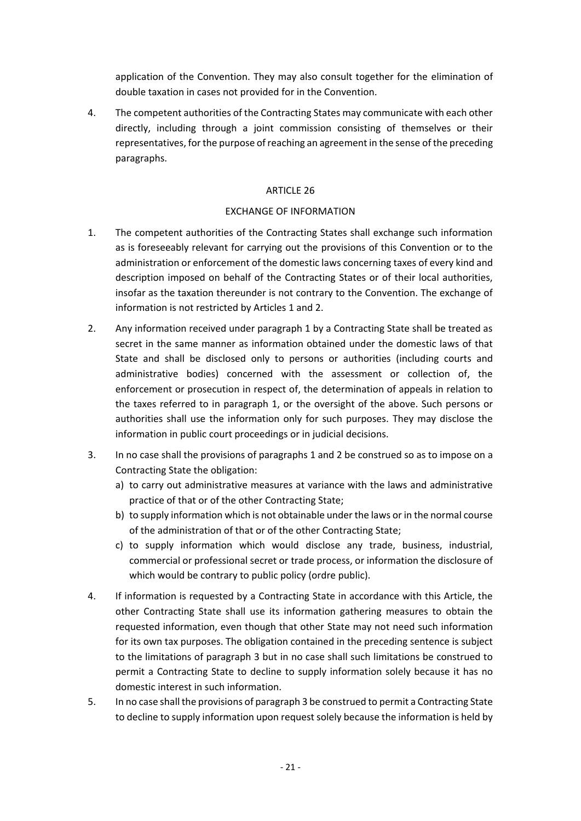application of the Convention. They may also consult together for the elimination of double taxation in cases not provided for in the Convention.

4. The competent authorities of the Contracting States may communicate with each other directly, including through a joint commission consisting of themselves or their representatives, for the purpose of reaching an agreement in the sense of the preceding paragraphs.

# ARTICLE 26

# EXCHANGE OF INFORMATION

- 1. The competent authorities of the Contracting States shall exchange such information as is foreseeably relevant for carrying out the provisions of this Convention or to the administration or enforcement of the domestic laws concerning taxes of every kind and description imposed on behalf of the Contracting States or of their local authorities, insofar as the taxation thereunder is not contrary to the Convention. The exchange of information is not restricted by Articles 1 and 2.
- 2. Any information received under paragraph 1 by a Contracting State shall be treated as secret in the same manner as information obtained under the domestic laws of that State and shall be disclosed only to persons or authorities (including courts and administrative bodies) concerned with the assessment or collection of, the enforcement or prosecution in respect of, the determination of appeals in relation to the taxes referred to in paragraph 1, or the oversight of the above. Such persons or authorities shall use the information only for such purposes. They may disclose the information in public court proceedings or in judicial decisions.
- 3. In no case shall the provisions of paragraphs 1 and 2 be construed so as to impose on a Contracting State the obligation:
	- a) to carry out administrative measures at variance with the laws and administrative practice of that or of the other Contracting State;
	- b) to supply information which is not obtainable under the laws or in the normal course of the administration of that or of the other Contracting State;
	- c) to supply information which would disclose any trade, business, industrial, commercial or professional secret or trade process, or information the disclosure of which would be contrary to public policy (ordre public).
- 4. If information is requested by a Contracting State in accordance with this Article, the other Contracting State shall use its information gathering measures to obtain the requested information, even though that other State may not need such information for its own tax purposes. The obligation contained in the preceding sentence is subject to the limitations of paragraph 3 but in no case shall such limitations be construed to permit a Contracting State to decline to supply information solely because it has no domestic interest in such information.
- 5. In no case shall the provisions of paragraph 3 be construed to permit a Contracting State to decline to supply information upon request solely because the information is held by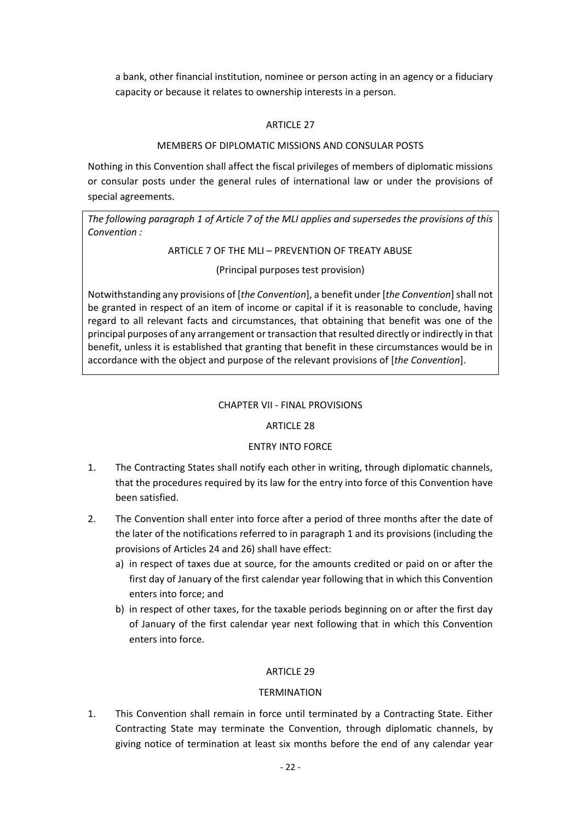a bank, other financial institution, nominee or person acting in an agency or a fiduciary capacity or because it relates to ownership interests in a person.

### ARTICLE 27

#### MEMBERS OF DIPLOMATIC MISSIONS AND CONSULAR POSTS

Nothing in this Convention shall affect the fiscal privileges of members of diplomatic missions or consular posts under the general rules of international law or under the provisions of special agreements.

*The following paragraph 1 of Article 7 of the MLI applies and supersedes the provisions of this Convention :*

### ARTICLE 7 OF THE MLI – PREVENTION OF TREATY ABUSE

(Principal purposes test provision)

Notwithstanding any provisions of [*the Convention*], a benefit under [*the Convention*]shall not be granted in respect of an item of income or capital if it is reasonable to conclude, having regard to all relevant facts and circumstances, that obtaining that benefit was one of the principal purposes of any arrangement or transaction that resulted directly or indirectly in that benefit, unless it is established that granting that benefit in these circumstances would be in accordance with the object and purpose of the relevant provisions of [*the Convention*].

### CHAPTER VII - FINAL PROVISIONS

# ARTICLE 28

# ENTRY INTO FORCE

- 1. The Contracting States shall notify each other in writing, through diplomatic channels, that the procedures required by its law for the entry into force of this Convention have been satisfied.
- 2. The Convention shall enter into force after a period of three months after the date of the later of the notifications referred to in paragraph 1 and its provisions (including the provisions of Articles 24 and 26) shall have effect:
	- a) in respect of taxes due at source, for the amounts credited or paid on or after the first day of January of the first calendar year following that in which this Convention enters into force; and
	- b) in respect of other taxes, for the taxable periods beginning on or after the first day of January of the first calendar year next following that in which this Convention enters into force.

#### ARTICLE 29

#### **TERMINATION**

1. This Convention shall remain in force until terminated by a Contracting State. Either Contracting State may terminate the Convention, through diplomatic channels, by giving notice of termination at least six months before the end of any calendar year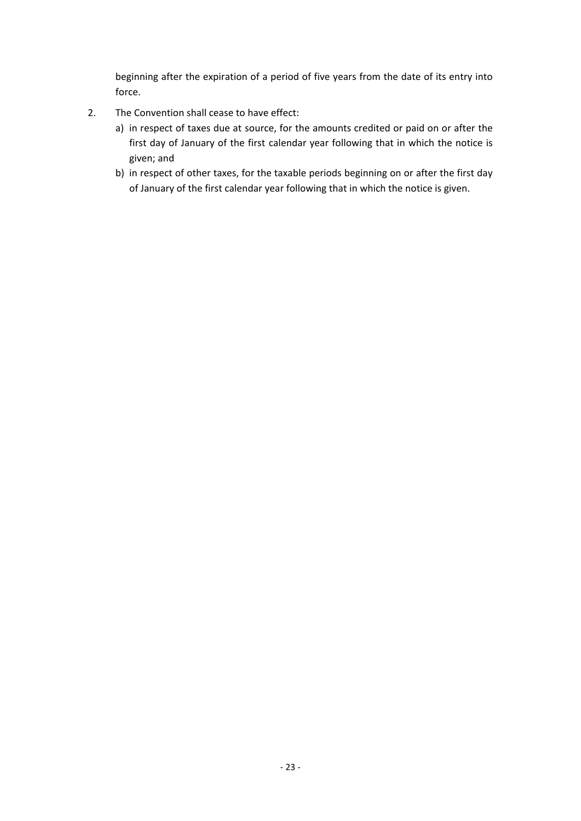beginning after the expiration of a period of five years from the date of its entry into force.

- 2. The Convention shall cease to have effect:
	- a) in respect of taxes due at source, for the amounts credited or paid on or after the first day of January of the first calendar year following that in which the notice is given; and
	- b) in respect of other taxes, for the taxable periods beginning on or after the first day of January of the first calendar year following that in which the notice is given.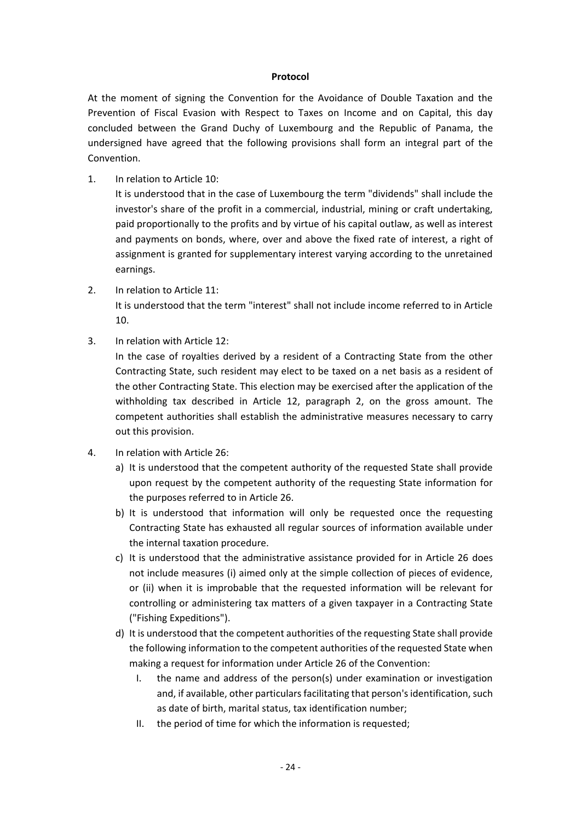#### **Protocol**

At the moment of signing the Convention for the Avoidance of Double Taxation and the Prevention of Fiscal Evasion with Respect to Taxes on Income and on Capital, this day concluded between the Grand Duchy of Luxembourg and the Republic of Panama, the undersigned have agreed that the following provisions shall form an integral part of the Convention.

1. In relation to Article 10:

It is understood that in the case of Luxembourg the term "dividends" shall include the investor's share of the profit in a commercial, industrial, mining or craft undertaking, paid proportionally to the profits and by virtue of his capital outlaw, as well as interest and payments on bonds, where, over and above the fixed rate of interest, a right of assignment is granted for supplementary interest varying according to the unretained earnings.

2. In relation to Article 11:

It is understood that the term "interest" shall not include income referred to in Article 10.

3. In relation with Article 12:

In the case of royalties derived by a resident of a Contracting State from the other Contracting State, such resident may elect to be taxed on a net basis as a resident of the other Contracting State. This election may be exercised after the application of the withholding tax described in Article 12, paragraph 2, on the gross amount. The competent authorities shall establish the administrative measures necessary to carry out this provision.

- 4. In relation with Article 26:
	- a) It is understood that the competent authority of the requested State shall provide upon request by the competent authority of the requesting State information for the purposes referred to in Article 26.
	- b) It is understood that information will only be requested once the requesting Contracting State has exhausted all regular sources of information available under the internal taxation procedure.
	- c) It is understood that the administrative assistance provided for in Article 26 does not include measures (i) aimed only at the simple collection of pieces of evidence, or (ii) when it is improbable that the requested information will be relevant for controlling or administering tax matters of a given taxpayer in a Contracting State ("Fishing Expeditions").
	- d) It is understood that the competent authorities of the requesting State shall provide the following information to the competent authorities of the requested State when making a request for information under Article 26 of the Convention:
		- I. the name and address of the person(s) under examination or investigation and, if available, other particulars facilitating that person's identification, such as date of birth, marital status, tax identification number;
		- II. the period of time for which the information is requested;